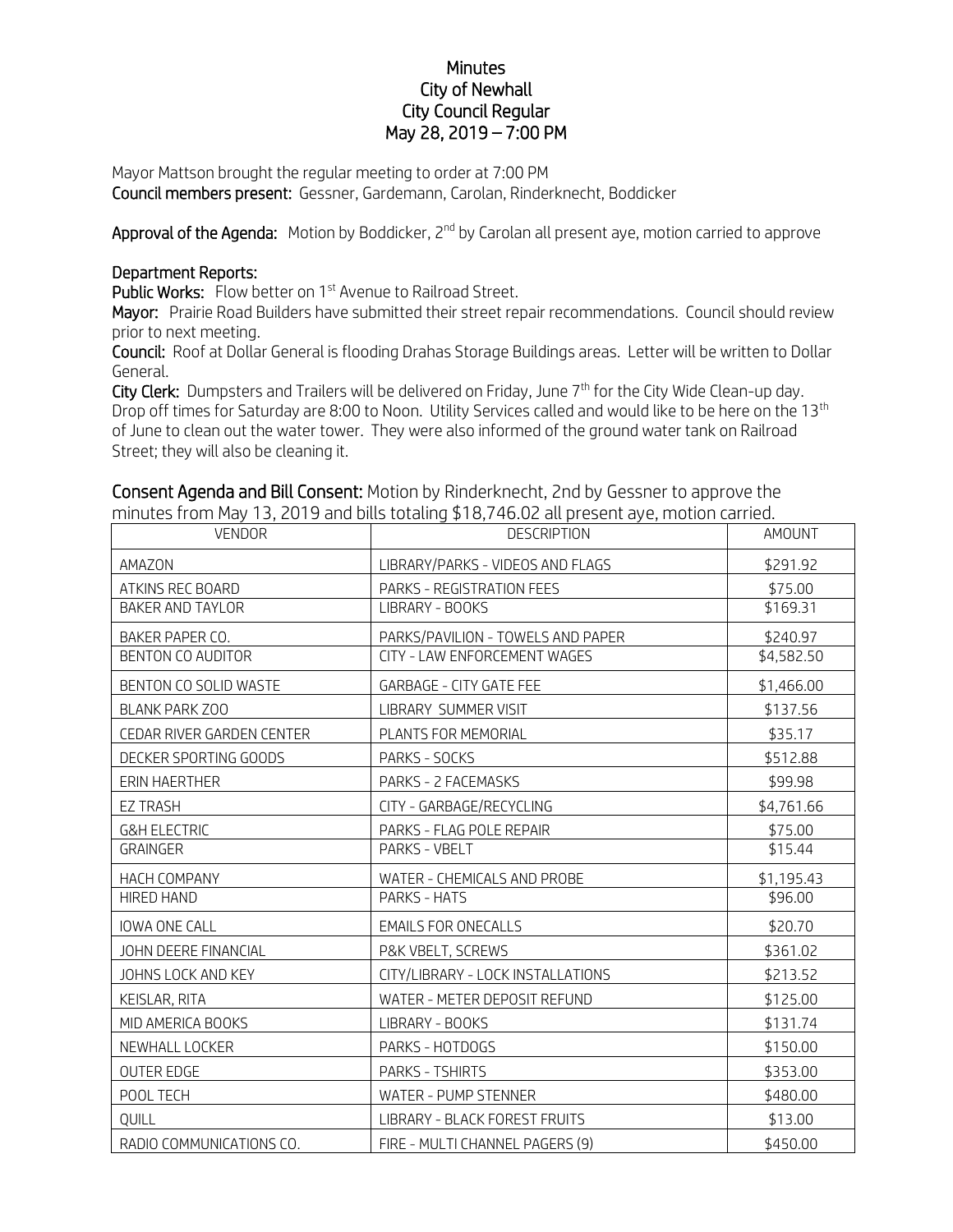## **Minutes** City of Newhall City Council Regular May 28, 2019 – 7:00 PM

Mayor Mattson brought the regular meeting to order at 7:00 PM Council members present: Gessner, Gardemann, Carolan, Rinderknecht, Boddicker

Approval of the Agenda: Motion by Boddicker, 2<sup>nd</sup> by Carolan all present aye, motion carried to approve

## Department Reports:

Public Works: Flow better on 1<sup>st</sup> Avenue to Railroad Street.

Mayor: Prairie Road Builders have submitted their street repair recommendations. Council should review prior to next meeting.

Council: Roof at Dollar General is flooding Drahas Storage Buildings areas. Letter will be written to Dollar General.

City Clerk: Dumpsters and Trailers will be delivered on Friday, June 7<sup>th</sup> for the City Wide Clean-up day. Drop off times for Saturday are 8:00 to Noon. Utility Services called and would like to be here on the 13<sup>th</sup> of June to clean out the water tower. They were also informed of the ground water tank on Railroad Street; they will also be cleaning it.

| minutes from May 13, 2019 and bills totaling \$18,746.02 all present aye, motion carried. |                                   |            |
|-------------------------------------------------------------------------------------------|-----------------------------------|------------|
| <b>VENDOR</b>                                                                             | <b>DESCRIPTION</b>                | AMOUNT     |
| AMAZON                                                                                    | LIBRARY/PARKS - VIDEOS AND FLAGS  | \$291.92   |
| ATKINS REC BOARD                                                                          | PARKS - REGISTRATION FEES         | \$75.00    |
| <b>BAKER AND TAYLOR</b>                                                                   | LIBRARY - BOOKS                   | \$169.31   |
| BAKER PAPER CO.                                                                           | PARKS/PAVILION - TOWELS AND PAPER | \$240.97   |
| BENTON CO AUDITOR                                                                         | CITY - LAW ENFORCEMENT WAGES      | \$4,582.50 |
| BENTON CO SOLID WASTE                                                                     | <b>GARBAGE - CITY GATE FEE</b>    | \$1,466.00 |
| <b>BLANK PARK ZOO</b>                                                                     | LIBRARY SUMMER VISIT              | \$137.56   |
| CEDAR RIVER GARDEN CENTER                                                                 | PLANTS FOR MEMORIAL               | \$35.17    |
| DECKER SPORTING GOODS                                                                     | PARKS - SOCKS                     | \$512.88   |

Consent Agenda and Bill Consent: Motion by Rinderknecht, 2nd by Gessner to approve the

| \$512.88   |
|------------|
|            |
| \$99.98    |
| \$4,761.66 |
| \$75.00    |
| \$15.44    |
| \$1,195.43 |
| \$96.00    |
| \$20.70    |
| \$361.02   |
| \$213.52   |
| \$125.00   |
| \$131.74   |
| \$150.00   |
| \$353.00   |
| \$480.00   |
| \$13.00    |
| \$450.00   |
|            |